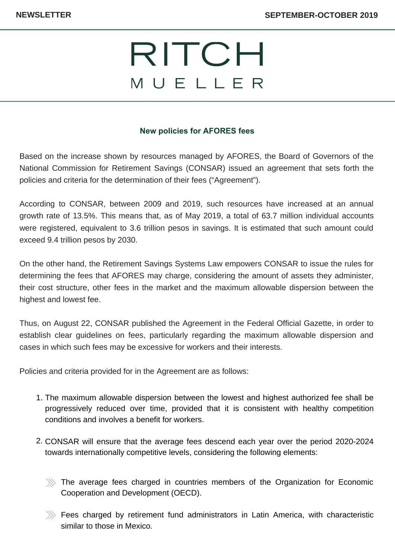## RITCH MUELLER

## **New policies for AFORES fees**

Based on the increase shown by resources managed by AFORES, the Board of Governors of the National Commission for Retirement Savings (CONSAR) issued an agreement that sets forth the policies and criteria for the determination of their fees ("Agreement").

According to CONSAR, between 2009 and 2019, such resources have increased at an annual growth rate of 13.5%. This means that, as of May 2019, a total of 63.7 million individual accounts were registered, equivalent to 3.6 trillion pesos in savings. It is estimated that such amount could exceed 9.4 trillion pesos by 2030.

On the other hand, the Retirement Savings Systems Law empowers CONSAR to issue the rules for determining the fees that AFORES may charge, considering the amount of assets they administer, their cost structure, other fees in the market and the maximum allowable dispersion between the highest and lowest fee.

Thus, on August 22, CONSAR published the Agreement in the Federal Official Gazette, in order to establish clear guidelines on fees, particularly regarding the maximum allowable dispersion and cases in which such fees may be excessive for workers and their interests.

Policies and criteria provided for in the Agreement are as follows:

- 1. The maximum allowable dispersion between the lowest and highest authorized fee shall be progressively reduced over time, provided that it is consistent with healthy competition conditions and involves a benefit for workers.
- 2. CONSAR will ensure that the average fees descend each year over the period 2020-2024 towards internationally competitive levels, considering the following elements:
	- $\gg$  The average fees charged in countries members of the Organization for Economic Cooperation and Development (OECD).
	- $\gg$  Fees charged by retirement fund administrators in Latin America, with characteristic similar to those in Mexico.